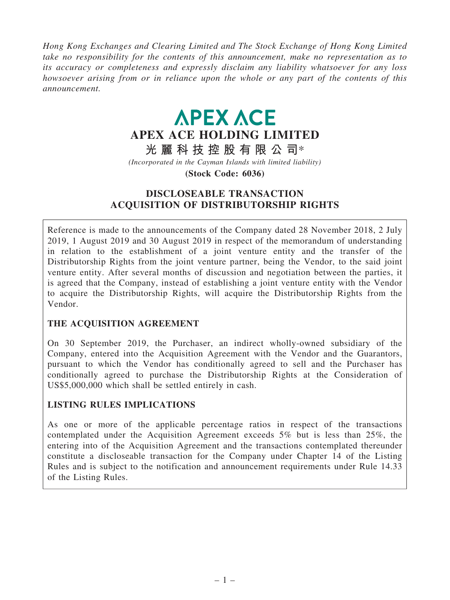Hong Kong Exchanges and Clearing Limited and The Stock Exchange of Hong Kong Limited take no responsibility for the contents of this announcement, make no representation as to its accuracy or completeness and expressly disclaim any liability whatsoever for any loss howsoever arising from or in reliance upon the whole or any part of the contents of this announcement.

# **APEX ACE** APEX ACE HOLDING LIMITED

# 光 麗 科 技 控 股 有 限 公 司\*

(Incorporated in the Cayman Islands with limited liability)

(Stock Code: 6036)

# DISCLOSEABLE TRANSACTION ACQUISITION OF DISTRIBUTORSHIP RIGHTS

Reference is made to the announcements of the Company dated 28 November 2018, 2 July 2019, 1 August 2019 and 30 August 2019 in respect of the memorandum of understanding in relation to the establishment of a joint venture entity and the transfer of the Distributorship Rights from the joint venture partner, being the Vendor, to the said joint venture entity. After several months of discussion and negotiation between the parties, it is agreed that the Company, instead of establishing a joint venture entity with the Vendor to acquire the Distributorship Rights, will acquire the Distributorship Rights from the Vendor.

# THE ACQUISITION AGREEMENT

On 30 September 2019, the Purchaser, an indirect wholly-owned subsidiary of the Company, entered into the Acquisition Agreement with the Vendor and the Guarantors, pursuant to which the Vendor has conditionally agreed to sell and the Purchaser has conditionally agreed to purchase the Distributorship Rights at the Consideration of US\$5,000,000 which shall be settled entirely in cash.

# LISTING RULES IMPLICATIONS

As one or more of the applicable percentage ratios in respect of the transactions contemplated under the Acquisition Agreement exceeds 5% but is less than 25%, the entering into of the Acquisition Agreement and the transactions contemplated thereunder constitute a discloseable transaction for the Company under Chapter 14 of the Listing Rules and is subject to the notification and announcement requirements under Rule 14.33 of the Listing Rules.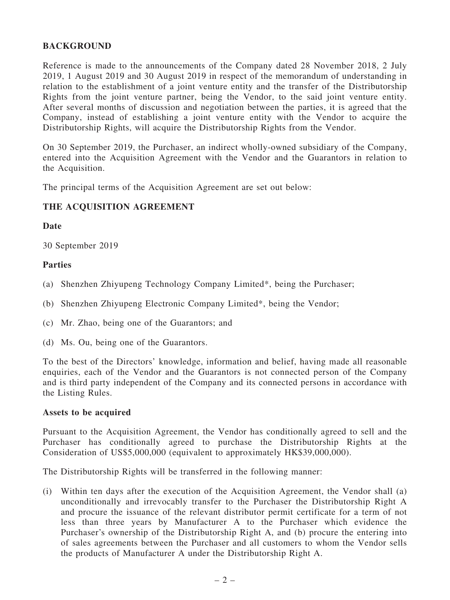# BACKGROUND

Reference is made to the announcements of the Company dated 28 November 2018, 2 July 2019, 1 August 2019 and 30 August 2019 in respect of the memorandum of understanding in relation to the establishment of a joint venture entity and the transfer of the Distributorship Rights from the joint venture partner, being the Vendor, to the said joint venture entity. After several months of discussion and negotiation between the parties, it is agreed that the Company, instead of establishing a joint venture entity with the Vendor to acquire the Distributorship Rights, will acquire the Distributorship Rights from the Vendor.

On 30 September 2019, the Purchaser, an indirect wholly-owned subsidiary of the Company, entered into the Acquisition Agreement with the Vendor and the Guarantors in relation to the Acquisition.

The principal terms of the Acquisition Agreement are set out below:

# THE ACQUISITION AGREEMENT

# Date

30 September 2019

# Parties

- (a) Shenzhen Zhiyupeng Technology Company Limited\*, being the Purchaser;
- (b) Shenzhen Zhiyupeng Electronic Company Limited\*, being the Vendor;
- (c) Mr. Zhao, being one of the Guarantors; and
- (d) Ms. Ou, being one of the Guarantors.

To the best of the Directors' knowledge, information and belief, having made all reasonable enquiries, each of the Vendor and the Guarantors is not connected person of the Company and is third party independent of the Company and its connected persons in accordance with the Listing Rules.

#### Assets to be acquired

Pursuant to the Acquisition Agreement, the Vendor has conditionally agreed to sell and the Purchaser has conditionally agreed to purchase the Distributorship Rights at the Consideration of US\$5,000,000 (equivalent to approximately HK\$39,000,000).

The Distributorship Rights will be transferred in the following manner:

(i) Within ten days after the execution of the Acquisition Agreement, the Vendor shall (a) unconditionally and irrevocably transfer to the Purchaser the Distributorship Right A and procure the issuance of the relevant distributor permit certificate for a term of not less than three years by Manufacturer A to the Purchaser which evidence the Purchaser's ownership of the Distributorship Right A, and (b) procure the entering into of sales agreements between the Purchaser and all customers to whom the Vendor sells the products of Manufacturer A under the Distributorship Right A.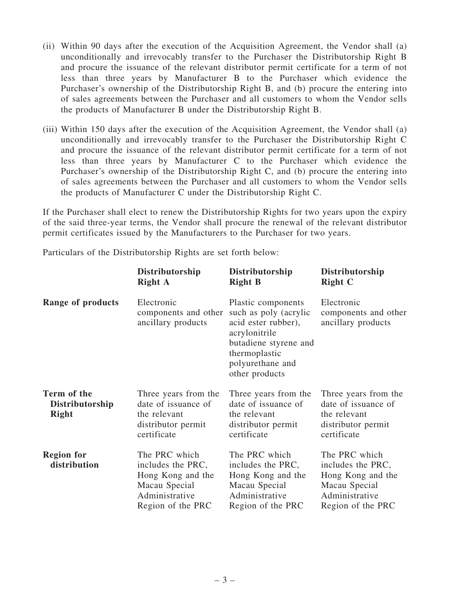- (ii) Within 90 days after the execution of the Acquisition Agreement, the Vendor shall (a) unconditionally and irrevocably transfer to the Purchaser the Distributorship Right B and procure the issuance of the relevant distributor permit certificate for a term of not less than three years by Manufacturer B to the Purchaser which evidence the Purchaser's ownership of the Distributorship Right B, and (b) procure the entering into of sales agreements between the Purchaser and all customers to whom the Vendor sells the products of Manufacturer B under the Distributorship Right B.
- (iii) Within 150 days after the execution of the Acquisition Agreement, the Vendor shall (a) unconditionally and irrevocably transfer to the Purchaser the Distributorship Right C and procure the issuance of the relevant distributor permit certificate for a term of not less than three years by Manufacturer C to the Purchaser which evidence the Purchaser's ownership of the Distributorship Right C, and (b) procure the entering into of sales agreements between the Purchaser and all customers to whom the Vendor sells the products of Manufacturer C under the Distributorship Right C.

If the Purchaser shall elect to renew the Distributorship Rights for two years upon the expiry of the said three-year terms, the Vendor shall procure the renewal of the relevant distributor permit certificates issued by the Manufacturers to the Purchaser for two years.

Particulars of the Distributorship Rights are set forth below:

|                                                | Distributorship<br><b>Right A</b>                                                                               | Distributorship<br><b>Right B</b>                                                                                                                                   | Distributorship<br><b>Right C</b>                                                                               |
|------------------------------------------------|-----------------------------------------------------------------------------------------------------------------|---------------------------------------------------------------------------------------------------------------------------------------------------------------------|-----------------------------------------------------------------------------------------------------------------|
| <b>Range of products</b>                       | Electronic<br>components and other<br>ancillary products                                                        | Plastic components<br>such as poly (acrylic<br>acid ester rubber),<br>acrylonitrile<br>butadiene styrene and<br>thermoplastic<br>polyurethane and<br>other products | Electronic<br>components and other<br>ancillary products                                                        |
| Term of the<br>Distributorship<br><b>Right</b> | Three years from the<br>date of issuance of<br>the relevant<br>distributor permit<br>certificate                | Three years from the<br>date of issuance of<br>the relevant<br>distributor permit<br>certificate                                                                    | Three years from the<br>date of issuance of<br>the relevant<br>distributor permit<br>certificate                |
| <b>Region for</b><br>distribution              | The PRC which<br>includes the PRC,<br>Hong Kong and the<br>Macau Special<br>Administrative<br>Region of the PRC | The PRC which<br>includes the PRC,<br>Hong Kong and the<br>Macau Special<br>Administrative<br>Region of the PRC                                                     | The PRC which<br>includes the PRC,<br>Hong Kong and the<br>Macau Special<br>Administrative<br>Region of the PRC |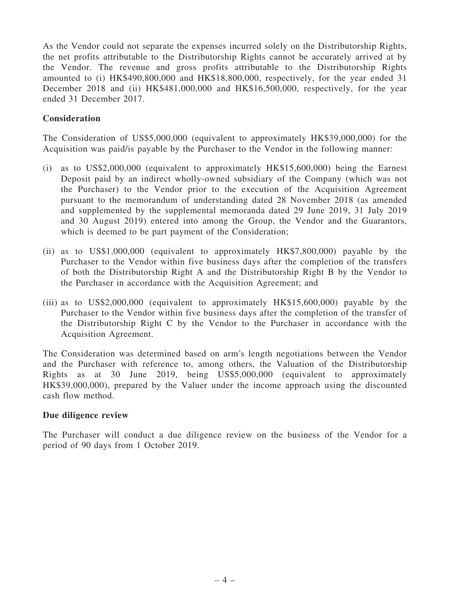As the Vendor could not separate the expenses incurred solely on the Distributorship Rights, the net profits attributable to the Distributorship Rights cannot be accurately arrived at by the Vendor. The revenue and gross profits attributable to the Distributorship Rights amounted to (i) HK\$490,800,000 and HK\$18,800,000, respectively, for the year ended 31 December 2018 and (ii) HK\$481,000,000 and HK\$16,500,000, respectively, for the year ended 31 December 2017.

# **Consideration**

The Consideration of US\$5,000,000 (equivalent to approximately HK\$39,000,000) for the Acquisition was paid/is payable by the Purchaser to the Vendor in the following manner:

- (i) as to US\$2,000,000 (equivalent to approximately HK\$15,600,000) being the Earnest Deposit paid by an indirect wholly-owned subsidiary of the Company (which was not the Purchaser) to the Vendor prior to the execution of the Acquisition Agreement pursuant to the memorandum of understanding dated 28 November 2018 (as amended and supplemented by the supplemental memoranda dated 29 June 2019, 31 July 2019 and 30 August 2019) entered into among the Group, the Vendor and the Guarantors, which is deemed to be part payment of the Consideration;
- (ii) as to US\$1,000,000 (equivalent to approximately HK\$7,800,000) payable by the Purchaser to the Vendor within five business days after the completion of the transfers of both the Distributorship Right A and the Distributorship Right B by the Vendor to the Purchaser in accordance with the Acquisition Agreement; and
- (iii) as to US\$2,000,000 (equivalent to approximately HK\$15,600,000) payable by the Purchaser to the Vendor within five business days after the completion of the transfer of the Distributorship Right C by the Vendor to the Purchaser in accordance with the Acquisition Agreement.

The Consideration was determined based on arm's length negotiations between the Vendor and the Purchaser with reference to, among others, the Valuation of the Distributorship Rights as at 30 June 2019, being US\$5,000,000 (equivalent to approximately HK\$39,000,000), prepared by the Valuer under the income approach using the discounted cash flow method.

# Due diligence review

The Purchaser will conduct a due diligence review on the business of the Vendor for a period of 90 days from 1 October 2019.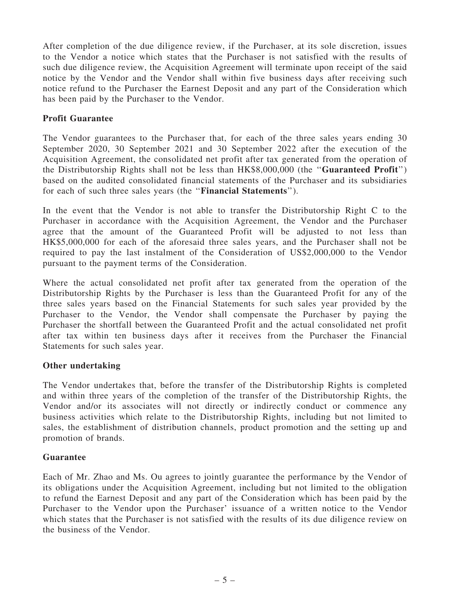After completion of the due diligence review, if the Purchaser, at its sole discretion, issues to the Vendor a notice which states that the Purchaser is not satisfied with the results of such due diligence review, the Acquisition Agreement will terminate upon receipt of the said notice by the Vendor and the Vendor shall within five business days after receiving such notice refund to the Purchaser the Earnest Deposit and any part of the Consideration which has been paid by the Purchaser to the Vendor.

# Profit Guarantee

The Vendor guarantees to the Purchaser that, for each of the three sales years ending 30 September 2020, 30 September 2021 and 30 September 2022 after the execution of the Acquisition Agreement, the consolidated net profit after tax generated from the operation of the Distributorship Rights shall not be less than HK\$8,000,000 (the ''Guaranteed Profit'') based on the audited consolidated financial statements of the Purchaser and its subsidiaries for each of such three sales years (the ''Financial Statements'').

In the event that the Vendor is not able to transfer the Distributorship Right C to the Purchaser in accordance with the Acquisition Agreement, the Vendor and the Purchaser agree that the amount of the Guaranteed Profit will be adjusted to not less than HK\$5,000,000 for each of the aforesaid three sales years, and the Purchaser shall not be required to pay the last instalment of the Consideration of US\$2,000,000 to the Vendor pursuant to the payment terms of the Consideration.

Where the actual consolidated net profit after tax generated from the operation of the Distributorship Rights by the Purchaser is less than the Guaranteed Profit for any of the three sales years based on the Financial Statements for such sales year provided by the Purchaser to the Vendor, the Vendor shall compensate the Purchaser by paying the Purchaser the shortfall between the Guaranteed Profit and the actual consolidated net profit after tax within ten business days after it receives from the Purchaser the Financial Statements for such sales year.

#### Other undertaking

The Vendor undertakes that, before the transfer of the Distributorship Rights is completed and within three years of the completion of the transfer of the Distributorship Rights, the Vendor and/or its associates will not directly or indirectly conduct or commence any business activities which relate to the Distributorship Rights, including but not limited to sales, the establishment of distribution channels, product promotion and the setting up and promotion of brands.

#### Guarantee

Each of Mr. Zhao and Ms. Ou agrees to jointly guarantee the performance by the Vendor of its obligations under the Acquisition Agreement, including but not limited to the obligation to refund the Earnest Deposit and any part of the Consideration which has been paid by the Purchaser to the Vendor upon the Purchaser' issuance of a written notice to the Vendor which states that the Purchaser is not satisfied with the results of its due diligence review on the business of the Vendor.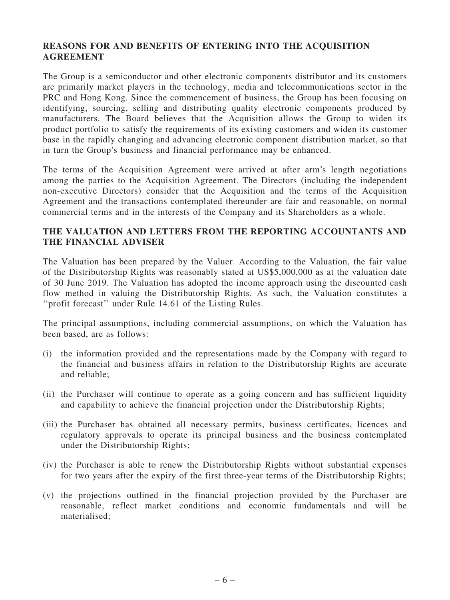# REASONS FOR AND BENEFITS OF ENTERING INTO THE ACQUISITION **AGREEMENT**

The Group is a semiconductor and other electronic components distributor and its customers are primarily market players in the technology, media and telecommunications sector in the PRC and Hong Kong. Since the commencement of business, the Group has been focusing on identifying, sourcing, selling and distributing quality electronic components produced by manufacturers. The Board believes that the Acquisition allows the Group to widen its product portfolio to satisfy the requirements of its existing customers and widen its customer base in the rapidly changing and advancing electronic component distribution market, so that in turn the Group's business and financial performance may be enhanced.

The terms of the Acquisition Agreement were arrived at after arm's length negotiations among the parties to the Acquisition Agreement. The Directors (including the independent non-executive Directors) consider that the Acquisition and the terms of the Acquisition Agreement and the transactions contemplated thereunder are fair and reasonable, on normal commercial terms and in the interests of the Company and its Shareholders as a whole.

# THE VALUATION AND LETTERS FROM THE REPORTING ACCOUNTANTS AND THE FINANCIAL ADVISER

The Valuation has been prepared by the Valuer. According to the Valuation, the fair value of the Distributorship Rights was reasonably stated at US\$5,000,000 as at the valuation date of 30 June 2019. The Valuation has adopted the income approach using the discounted cash flow method in valuing the Distributorship Rights. As such, the Valuation constitutes a ''profit forecast'' under Rule 14.61 of the Listing Rules.

The principal assumptions, including commercial assumptions, on which the Valuation has been based, are as follows:

- (i) the information provided and the representations made by the Company with regard to the financial and business affairs in relation to the Distributorship Rights are accurate and reliable;
- (ii) the Purchaser will continue to operate as a going concern and has sufficient liquidity and capability to achieve the financial projection under the Distributorship Rights;
- (iii) the Purchaser has obtained all necessary permits, business certificates, licences and regulatory approvals to operate its principal business and the business contemplated under the Distributorship Rights;
- (iv) the Purchaser is able to renew the Distributorship Rights without substantial expenses for two years after the expiry of the first three-year terms of the Distributorship Rights;
- (v) the projections outlined in the financial projection provided by the Purchaser are reasonable, reflect market conditions and economic fundamentals and will be materialised;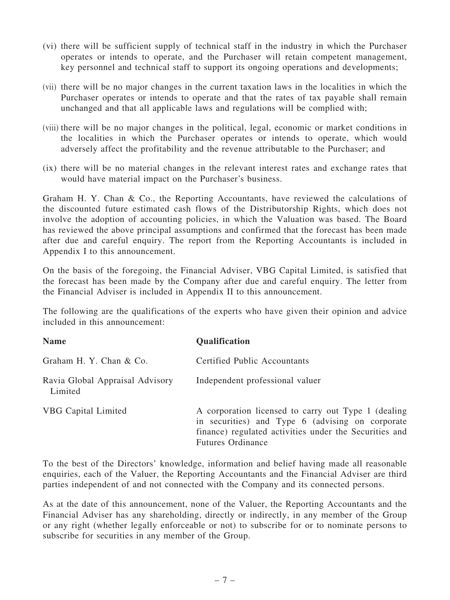- (vi) there will be sufficient supply of technical staff in the industry in which the Purchaser operates or intends to operate, and the Purchaser will retain competent management, key personnel and technical staff to support its ongoing operations and developments;
- (vii) there will be no major changes in the current taxation laws in the localities in which the Purchaser operates or intends to operate and that the rates of tax payable shall remain unchanged and that all applicable laws and regulations will be complied with;
- (viii) there will be no major changes in the political, legal, economic or market conditions in the localities in which the Purchaser operates or intends to operate, which would adversely affect the profitability and the revenue attributable to the Purchaser; and
- (ix) there will be no material changes in the relevant interest rates and exchange rates that would have material impact on the Purchaser's business.

Graham H. Y. Chan & Co., the Reporting Accountants, have reviewed the calculations of the discounted future estimated cash flows of the Distributorship Rights, which does not involve the adoption of accounting policies, in which the Valuation was based. The Board has reviewed the above principal assumptions and confirmed that the forecast has been made after due and careful enquiry. The report from the Reporting Accountants is included in Appendix I to this announcement.

On the basis of the foregoing, the Financial Adviser, VBG Capital Limited, is satisfied that the forecast has been made by the Company after due and careful enquiry. The letter from the Financial Adviser is included in Appendix II to this announcement.

The following are the qualifications of the experts who have given their opinion and advice included in this announcement:

| <b>Name</b>                                | <b>Qualification</b>                                                                                                                                                                          |
|--------------------------------------------|-----------------------------------------------------------------------------------------------------------------------------------------------------------------------------------------------|
| Graham H. Y. Chan & Co.                    | <b>Certified Public Accountants</b>                                                                                                                                                           |
| Ravia Global Appraisal Advisory<br>Limited | Independent professional valuer                                                                                                                                                               |
| <b>VBG</b> Capital Limited                 | A corporation licensed to carry out Type 1 (dealing<br>in securities) and Type 6 (advising on corporate<br>finance) regulated activities under the Securities and<br><b>Futures Ordinance</b> |

To the best of the Directors' knowledge, information and belief having made all reasonable enquiries, each of the Valuer, the Reporting Accountants and the Financial Adviser are third parties independent of and not connected with the Company and its connected persons.

As at the date of this announcement, none of the Valuer, the Reporting Accountants and the Financial Adviser has any shareholding, directly or indirectly, in any member of the Group or any right (whether legally enforceable or not) to subscribe for or to nominate persons to subscribe for securities in any member of the Group.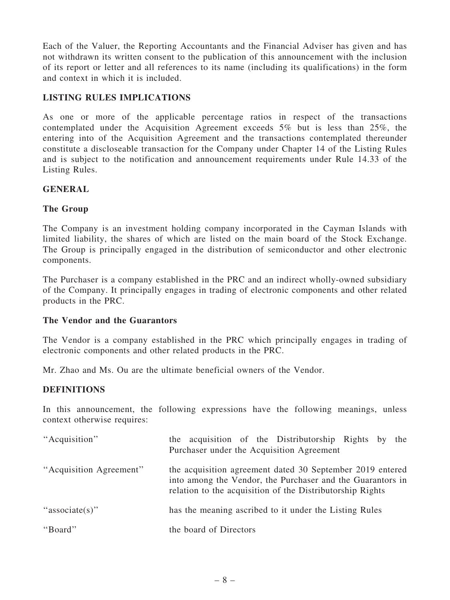Each of the Valuer, the Reporting Accountants and the Financial Adviser has given and has not withdrawn its written consent to the publication of this announcement with the inclusion of its report or letter and all references to its name (including its qualifications) in the form and context in which it is included.

# LISTING RULES IMPLICATIONS

As one or more of the applicable percentage ratios in respect of the transactions contemplated under the Acquisition Agreement exceeds 5% but is less than 25%, the entering into of the Acquisition Agreement and the transactions contemplated thereunder constitute a discloseable transaction for the Company under Chapter 14 of the Listing Rules and is subject to the notification and announcement requirements under Rule 14.33 of the Listing Rules.

# GENERAL

# The Group

The Company is an investment holding company incorporated in the Cayman Islands with limited liability, the shares of which are listed on the main board of the Stock Exchange. The Group is principally engaged in the distribution of semiconductor and other electronic components.

The Purchaser is a company established in the PRC and an indirect wholly-owned subsidiary of the Company. It principally engages in trading of electronic components and other related products in the PRC.

# The Vendor and the Guarantors

The Vendor is a company established in the PRC which principally engages in trading of electronic components and other related products in the PRC.

Mr. Zhao and Ms. Ou are the ultimate beneficial owners of the Vendor.

# **DEFINITIONS**

In this announcement, the following expressions have the following meanings, unless context otherwise requires:

| "Acquisition"           | the acquisition of the Distributorship Rights by the<br>Purchaser under the Acquisition Agreement                                                                                    |
|-------------------------|--------------------------------------------------------------------------------------------------------------------------------------------------------------------------------------|
| "Acquisition Agreement" | the acquisition agreement dated 30 September 2019 entered<br>into among the Vendor, the Purchaser and the Guarantors in<br>relation to the acquisition of the Distributorship Rights |
| "associate(s)"          | has the meaning ascribed to it under the Listing Rules                                                                                                                               |
| "Board"                 | the board of Directors                                                                                                                                                               |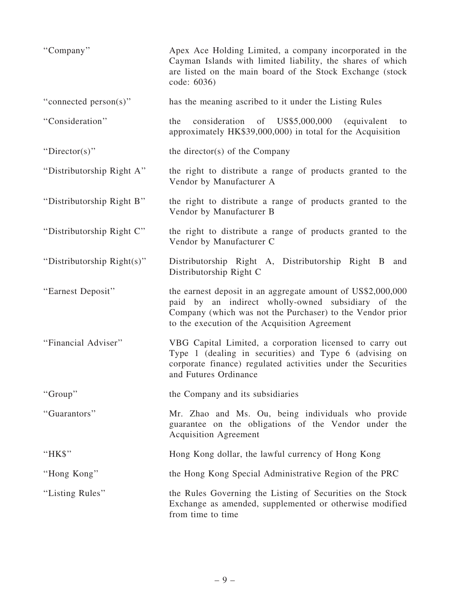| "Company"                  | Apex Ace Holding Limited, a company incorporated in the<br>Cayman Islands with limited liability, the shares of which<br>are listed on the main board of the Stock Exchange (stock<br>code: 6036)                               |
|----------------------------|---------------------------------------------------------------------------------------------------------------------------------------------------------------------------------------------------------------------------------|
| "connected person(s)"      | has the meaning ascribed to it under the Listing Rules                                                                                                                                                                          |
| "Consideration"            | consideration<br>of US\$5,000,000<br>the<br>(equivalent)<br>to<br>approximately HK\$39,000,000) in total for the Acquisition                                                                                                    |
| "Director(s)"              | the director(s) of the Company                                                                                                                                                                                                  |
| "Distributorship Right A"  | the right to distribute a range of products granted to the<br>Vendor by Manufacturer A                                                                                                                                          |
| "Distributorship Right B"  | the right to distribute a range of products granted to the<br>Vendor by Manufacturer B                                                                                                                                          |
| "Distributorship Right C"  | the right to distribute a range of products granted to the<br>Vendor by Manufacturer C                                                                                                                                          |
| "Distributorship Right(s)" | Distributorship Right A, Distributorship Right B<br>and<br>Distributorship Right C                                                                                                                                              |
| "Earnest Deposit"          | the earnest deposit in an aggregate amount of US\$2,000,000<br>paid by an indirect wholly-owned subsidiary of the<br>Company (which was not the Purchaser) to the Vendor prior<br>to the execution of the Acquisition Agreement |
| "Financial Adviser"        | VBG Capital Limited, a corporation licensed to carry out<br>Type 1 (dealing in securities) and Type 6 (advising on<br>corporate finance) regulated activities under the Securities<br>and Futures Ordinance                     |
| "Group"                    | the Company and its subsidiaries                                                                                                                                                                                                |
| "Guarantors"               | Mr. Zhao and Ms. Ou, being individuals who provide<br>guarantee on the obligations of the Vendor under the<br><b>Acquisition Agreement</b>                                                                                      |
| "HK\$"                     | Hong Kong dollar, the lawful currency of Hong Kong                                                                                                                                                                              |
| "Hong Kong"                | the Hong Kong Special Administrative Region of the PRC                                                                                                                                                                          |
| "Listing Rules"            | the Rules Governing the Listing of Securities on the Stock<br>Exchange as amended, supplemented or otherwise modified<br>from time to time                                                                                      |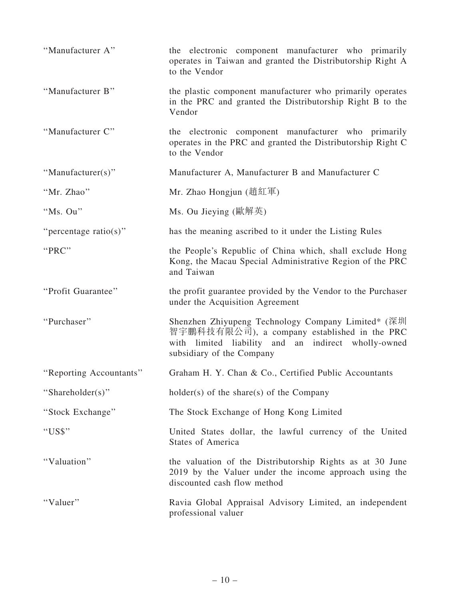| "Manufacturer A"        | the electronic component manufacturer who primarily<br>operates in Taiwan and granted the Distributorship Right A<br>to the Vendor                                                     |
|-------------------------|----------------------------------------------------------------------------------------------------------------------------------------------------------------------------------------|
| "Manufacturer B"        | the plastic component manufacturer who primarily operates<br>in the PRC and granted the Distributorship Right B to the<br>Vendor                                                       |
| "Manufacturer C"        | the electronic component manufacturer who primarily<br>operates in the PRC and granted the Distributorship Right C<br>to the Vendor                                                    |
| "Manufacturer $(s)$ "   | Manufacturer A, Manufacturer B and Manufacturer C                                                                                                                                      |
| "Mr. Zhao"              | Mr. Zhao Hongjun (趙紅軍)                                                                                                                                                                 |
| "Ms. Ou"                | Ms. Ou Jieying (歐解英)                                                                                                                                                                   |
| "percentage ratio(s)"   | has the meaning ascribed to it under the Listing Rules                                                                                                                                 |
| "PRC"                   | the People's Republic of China which, shall exclude Hong<br>Kong, the Macau Special Administrative Region of the PRC<br>and Taiwan                                                     |
|                         |                                                                                                                                                                                        |
| "Profit Guarantee"      | the profit guarantee provided by the Vendor to the Purchaser<br>under the Acquisition Agreement                                                                                        |
| "Purchaser"             | Shenzhen Zhiyupeng Technology Company Limited* (深圳<br>智宇鵬科技有限公司), a company established in the PRC<br>with limited liability and an indirect wholly-owned<br>subsidiary of the Company |
| "Reporting Accountants" | Graham H. Y. Chan & Co., Certified Public Accountants                                                                                                                                  |
| "Shareholder(s)"        | $holder(s)$ of the share(s) of the Company                                                                                                                                             |
| "Stock Exchange"        | The Stock Exchange of Hong Kong Limited                                                                                                                                                |
| "US\$"                  | United States dollar, the lawful currency of the United<br><b>States of America</b>                                                                                                    |
| "Valuation"             | the valuation of the Distributorship Rights as at 30 June<br>2019 by the Valuer under the income approach using the<br>discounted cash flow method                                     |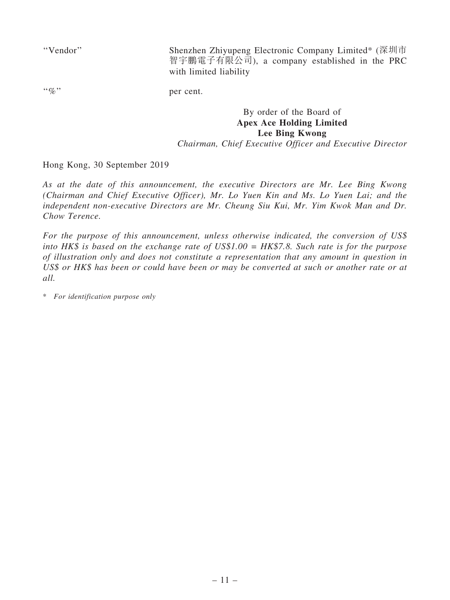''Vendor'' Shenzhen Zhiyupeng Electronic Company Limited\* (深圳市 智宇鵬電子有限公司), a company established in the PRC with limited liability

"%" per cent.

# By order of the Board of Apex Ace Holding Limited Lee Bing Kwong

Chairman, Chief Executive Officer and Executive Director

Hong Kong, 30 September 2019

As at the date of this announcement, the executive Directors are Mr. Lee Bing Kwong (Chairman and Chief Executive Officer), Mr. Lo Yuen Kin and Ms. Lo Yuen Lai; and the independent non-executive Directors are Mr. Cheung Siu Kui, Mr. Yim Kwok Man and Dr. Chow Terence.

For the purpose of this announcement, unless otherwise indicated, the conversion of US\$ into HK\$ is based on the exchange rate of US\$1.00 = HK\$7.8. Such rate is for the purpose of illustration only and does not constitute a representation that any amount in question in US\$ or HK\$ has been or could have been or may be converted at such or another rate or at all.

\* For identification purpose only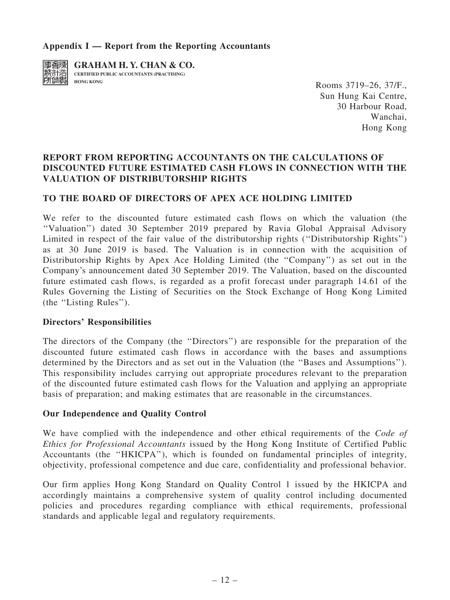# Appendix  $I$  — Report from the Reporting Accountants



**GRAHAM H. Y. CHAN & CO. CERTIFIED PUBLIC ACCOUNTANTS (PRACTISING)**

**HONG KONG HONG KONG ROOMS** 3719–26, 37/F., Sun Hung Kai Centre, 30 Harbour Road, Wanchai, Hong Kong

# REPORT FROM REPORTING ACCOUNTANTS ON THE CALCULATIONS OF DISCOUNTED FUTURE ESTIMATED CASH FLOWS IN CONNECTION WITH THE VALUATION OF DISTRIBUTORSHIP RIGHTS

# TO THE BOARD OF DIRECTORS OF APEX ACE HOLDING LIMITED

We refer to the discounted future estimated cash flows on which the valuation (the ''Valuation'') dated 30 September 2019 prepared by Ravia Global Appraisal Advisory Limited in respect of the fair value of the distributorship rights (''Distributorship Rights'') as at 30 June 2019 is based. The Valuation is in connection with the acquisition of Distributorship Rights by Apex Ace Holding Limited (the ''Company'') as set out in the Company's announcement dated 30 September 2019. The Valuation, based on the discounted future estimated cash flows, is regarded as a profit forecast under paragraph 14.61 of the Rules Governing the Listing of Securities on the Stock Exchange of Hong Kong Limited (the ''Listing Rules'').

#### Directors' Responsibilities

The directors of the Company (the ''Directors'') are responsible for the preparation of the discounted future estimated cash flows in accordance with the bases and assumptions determined by the Directors and as set out in the Valuation (the ''Bases and Assumptions''). This responsibility includes carrying out appropriate procedures relevant to the preparation of the discounted future estimated cash flows for the Valuation and applying an appropriate basis of preparation; and making estimates that are reasonable in the circumstances.

#### Our Independence and Quality Control

We have complied with the independence and other ethical requirements of the Code of Ethics for Professional Accountants issued by the Hong Kong Institute of Certified Public Accountants (the ''HKICPA''), which is founded on fundamental principles of integrity, objectivity, professional competence and due care, confidentiality and professional behavior.

Our firm applies Hong Kong Standard on Quality Control 1 issued by the HKICPA and accordingly maintains a comprehensive system of quality control including documented policies and procedures regarding compliance with ethical requirements, professional standards and applicable legal and regulatory requirements.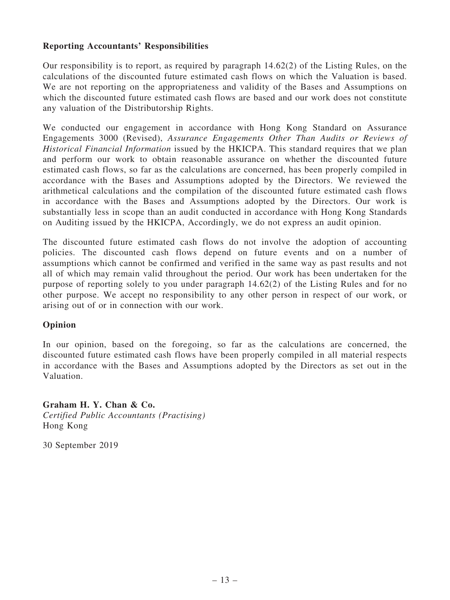# Reporting Accountants' Responsibilities

Our responsibility is to report, as required by paragraph 14.62(2) of the Listing Rules, on the calculations of the discounted future estimated cash flows on which the Valuation is based. We are not reporting on the appropriateness and validity of the Bases and Assumptions on which the discounted future estimated cash flows are based and our work does not constitute any valuation of the Distributorship Rights.

We conducted our engagement in accordance with Hong Kong Standard on Assurance Engagements 3000 (Revised), Assurance Engagements Other Than Audits or Reviews of Historical Financial Information issued by the HKICPA. This standard requires that we plan and perform our work to obtain reasonable assurance on whether the discounted future estimated cash flows, so far as the calculations are concerned, has been properly compiled in accordance with the Bases and Assumptions adopted by the Directors. We reviewed the arithmetical calculations and the compilation of the discounted future estimated cash flows in accordance with the Bases and Assumptions adopted by the Directors. Our work is substantially less in scope than an audit conducted in accordance with Hong Kong Standards on Auditing issued by the HKICPA, Accordingly, we do not express an audit opinion.

The discounted future estimated cash flows do not involve the adoption of accounting policies. The discounted cash flows depend on future events and on a number of assumptions which cannot be confirmed and verified in the same way as past results and not all of which may remain valid throughout the period. Our work has been undertaken for the purpose of reporting solely to you under paragraph 14.62(2) of the Listing Rules and for no other purpose. We accept no responsibility to any other person in respect of our work, or arising out of or in connection with our work.

# Opinion

In our opinion, based on the foregoing, so far as the calculations are concerned, the discounted future estimated cash flows have been properly compiled in all material respects in accordance with the Bases and Assumptions adopted by the Directors as set out in the Valuation.

Graham H. Y. Chan & Co. Certified Public Accountants (Practising) Hong Kong

30 September 2019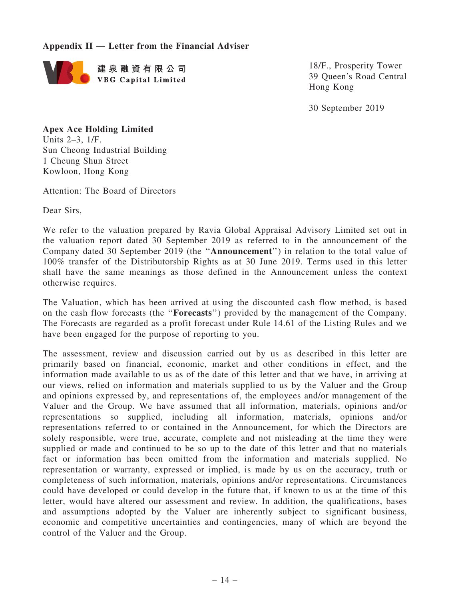# Appendix II — Letter from the Financial Adviser



18/F., Prosperity Tower 39 Queen's Road Central Hong Kong

30 September 2019

# Apex Ace Holding Limited

Units 2–3, 1/F. Sun Cheong Industrial Building 1 Cheung Shun Street Kowloon, Hong Kong

Attention: The Board of Directors

Dear Sirs,

We refer to the valuation prepared by Ravia Global Appraisal Advisory Limited set out in the valuation report dated 30 September 2019 as referred to in the announcement of the Company dated 30 September 2019 (the ''Announcement'') in relation to the total value of 100% transfer of the Distributorship Rights as at 30 June 2019. Terms used in this letter shall have the same meanings as those defined in the Announcement unless the context otherwise requires.

The Valuation, which has been arrived at using the discounted cash flow method, is based on the cash flow forecasts (the ''Forecasts'') provided by the management of the Company. The Forecasts are regarded as a profit forecast under Rule 14.61 of the Listing Rules and we have been engaged for the purpose of reporting to you.

The assessment, review and discussion carried out by us as described in this letter are primarily based on financial, economic, market and other conditions in effect, and the information made available to us as of the date of this letter and that we have, in arriving at our views, relied on information and materials supplied to us by the Valuer and the Group and opinions expressed by, and representations of, the employees and/or management of the Valuer and the Group. We have assumed that all information, materials, opinions and/or representations so supplied, including all information, materials, opinions and/or representations referred to or contained in the Announcement, for which the Directors are solely responsible, were true, accurate, complete and not misleading at the time they were supplied or made and continued to be so up to the date of this letter and that no materials fact or information has been omitted from the information and materials supplied. No representation or warranty, expressed or implied, is made by us on the accuracy, truth or completeness of such information, materials, opinions and/or representations. Circumstances could have developed or could develop in the future that, if known to us at the time of this letter, would have altered our assessment and review. In addition, the qualifications, bases and assumptions adopted by the Valuer are inherently subject to significant business, economic and competitive uncertainties and contingencies, many of which are beyond the control of the Valuer and the Group.